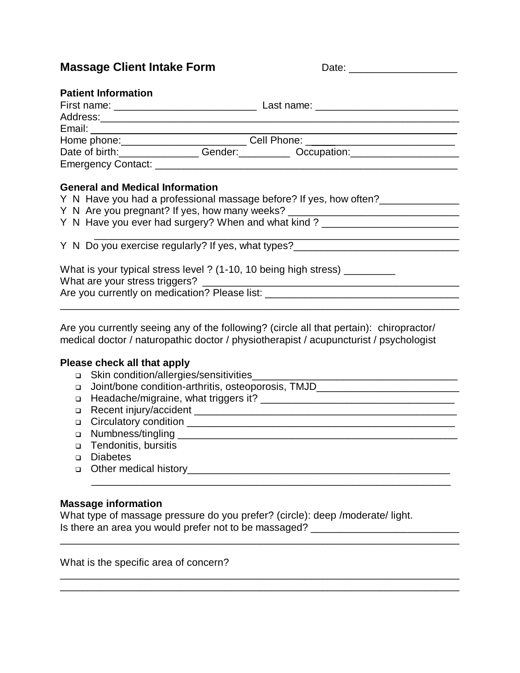**Massage Client Intake Form** D

## **Patient Information**

|                                        |  | Home phone: _______________________________Cell Phone: __________________________ |  |  |
|----------------------------------------|--|-----------------------------------------------------------------------------------|--|--|
|                                        |  |                                                                                   |  |  |
|                                        |  |                                                                                   |  |  |
|                                        |  |                                                                                   |  |  |
| <b>General and Medical Information</b> |  |                                                                                   |  |  |
|                                        |  | Y N Have you had a professional massage before? If yes, how often?                |  |  |

Y N Are you pregnant? If yes, how many weeks? \_\_\_\_\_\_\_\_\_\_\_\_\_\_\_\_\_\_\_\_\_\_\_\_\_\_\_\_\_\_\_\_\_\_

|  |  | Y N Have you ever had surgery? When and what kind? |  |  |
|--|--|----------------------------------------------------|--|--|
|--|--|----------------------------------------------------|--|--|

 \_\_\_\_\_\_\_\_\_\_\_\_\_\_\_\_\_\_\_\_\_\_\_\_\_\_\_\_\_\_\_\_\_\_\_\_\_\_\_\_\_\_\_\_\_\_\_\_\_\_\_\_\_\_\_\_\_\_\_\_\_\_\_\_ Y N Do you exercise regularly? If yes, what types?

| What is your typical stress level ? (1-10, 10 being high stress) |  |  |  |  |
|------------------------------------------------------------------|--|--|--|--|
| What are your stress triggers?                                   |  |  |  |  |
| Are you currently on medication? Please list:                    |  |  |  |  |
|                                                                  |  |  |  |  |

Are you currently seeing any of the following? (circle all that pertain): chiropractor/ medical doctor / naturopathic doctor / physiotherapist / acupuncturist / psychologist

## **Please check all that apply**

- Skin condition/allergies/sensitivities\_\_\_\_\_\_\_\_\_\_\_\_\_\_\_\_\_\_\_\_\_\_\_\_\_\_\_\_\_\_\_\_\_\_\_\_
- Joint/bone condition-arthritis, osteoporosis, TMJD\_\_\_\_\_\_\_\_\_\_\_\_\_\_\_\_\_\_\_\_\_\_\_\_\_

\_\_\_\_\_\_\_\_\_\_\_\_\_\_\_\_\_\_\_\_\_\_\_\_\_\_\_\_\_\_\_\_\_\_\_\_\_\_\_\_\_\_\_\_\_\_\_\_\_\_\_\_\_\_\_\_\_\_\_\_\_\_\_\_\_\_\_\_\_\_

- Headache/migraine, what triggers it? \_\_\_\_\_\_\_\_\_\_\_\_\_\_\_\_\_\_\_\_\_\_\_\_\_\_\_\_\_\_\_\_\_\_
- Recent injury/accident \_\_\_\_\_\_\_\_\_\_\_\_\_\_\_\_\_\_\_\_\_\_\_\_\_\_\_\_\_\_\_\_\_\_\_\_\_\_\_\_\_\_\_\_\_\_
- Circulatory condition \_\_\_\_\_\_\_\_\_\_\_\_\_\_\_\_\_\_\_\_\_\_\_\_\_\_\_\_\_\_\_\_\_\_\_\_\_\_\_\_\_\_\_\_\_\_\_
- Numbness/tingling \_\_\_\_\_\_\_\_\_\_\_\_\_\_\_\_\_\_\_\_\_\_\_\_\_\_\_\_\_\_\_\_\_\_\_\_\_\_\_\_\_\_\_\_\_\_\_\_\_
- □ Tendonitis, bursitis
- Diabetes
- Other medical history\_\_\_\_\_\_\_\_\_\_\_\_\_\_\_\_\_\_\_\_\_\_\_\_\_\_\_\_\_\_\_\_\_\_\_\_\_\_\_\_\_\_\_\_\_\_

## **Massage information**

What type of massage pressure do you prefer? (circle): deep /moderate/ light. Is there an area you would prefer not to be massaged? \_\_\_\_\_\_\_\_\_\_\_\_\_\_\_\_\_\_\_\_\_\_\_\_\_\_

\_\_\_\_\_\_\_\_\_\_\_\_\_\_\_\_\_\_\_\_\_\_\_\_\_\_\_\_\_\_\_\_\_\_\_\_\_\_\_\_\_\_\_\_\_\_\_\_\_\_\_\_\_\_\_\_\_\_\_\_\_\_\_

\_\_\_\_\_\_\_\_\_\_\_\_\_\_\_\_\_\_\_\_\_\_\_\_\_\_\_\_\_\_\_\_\_\_\_\_\_\_\_\_\_\_\_\_\_\_\_\_\_\_\_\_\_\_\_\_\_\_\_\_\_\_\_\_\_\_\_\_\_\_

\_\_\_\_\_\_\_\_\_\_\_\_\_\_\_\_\_\_\_\_\_\_\_\_\_\_\_\_\_\_\_\_\_\_\_\_\_\_\_\_\_\_\_\_\_\_\_\_\_\_\_\_\_\_\_\_\_\_\_\_\_\_\_\_\_\_\_\_\_\_

What is the specific area of concern?